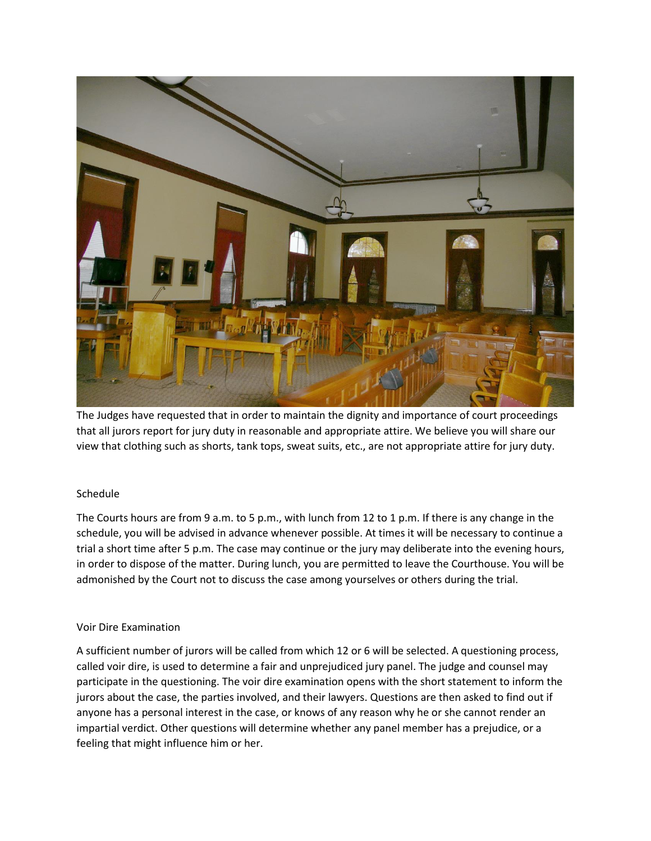

The Judges have requested that in order to maintain the dignity and importance of court proceedings that all jurors report for jury duty in reasonable and appropriate attire. We believe you will share our view that clothing such as shorts, tank tops, sweat suits, etc., are not appropriate attire for jury duty.

# Schedule

The Courts hours are from 9 a.m. to 5 p.m., with lunch from 12 to 1 p.m. If there is any change in the schedule, you will be advised in advance whenever possible. At times it will be necessary to continue a trial a short time after 5 p.m. The case may continue or the jury may deliberate into the evening hours, in order to dispose of the matter. During lunch, you are permitted to leave the Courthouse. You will be admonished by the Court not to discuss the case among yourselves or others during the trial.

### Voir Dire Examination

A sufficient number of jurors will be called from which 12 or 6 will be selected. A questioning process, called voir dire, is used to determine a fair and unprejudiced jury panel. The judge and counsel may participate in the questioning. The voir dire examination opens with the short statement to inform the jurors about the case, the parties involved, and their lawyers. Questions are then asked to find out if anyone has a personal interest in the case, or knows of any reason why he or she cannot render an impartial verdict. Other questions will determine whether any panel member has a prejudice, or a feeling that might influence him or her.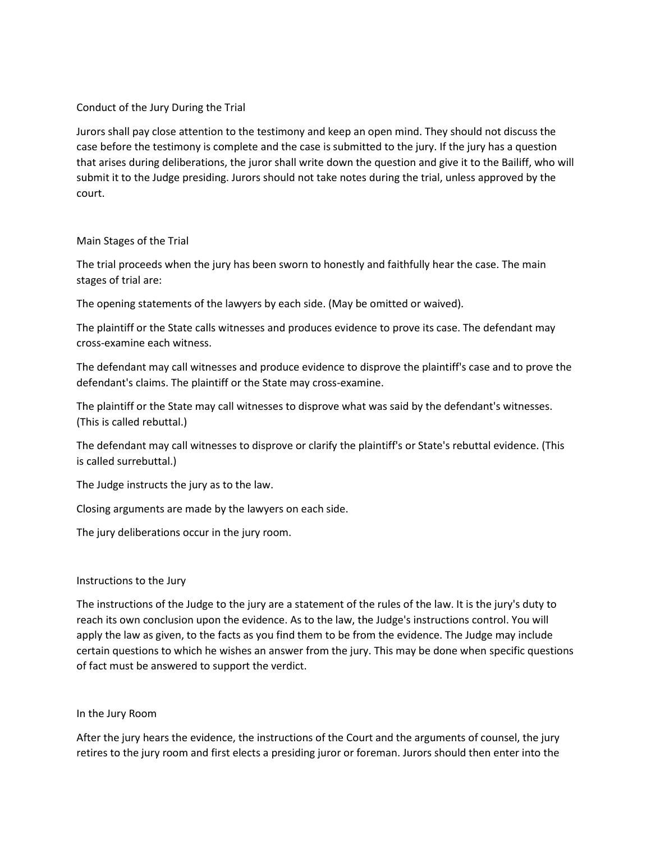### Conduct of the Jury During the Trial

Jurors shall pay close attention to the testimony and keep an open mind. They should not discuss the case before the testimony is complete and the case is submitted to the jury. If the jury has a question that arises during deliberations, the juror shall write down the question and give it to the Bailiff, who will submit it to the Judge presiding. Jurors should not take notes during the trial, unless approved by the court.

### Main Stages of the Trial

The trial proceeds when the jury has been sworn to honestly and faithfully hear the case. The main stages of trial are:

The opening statements of the lawyers by each side. (May be omitted or waived).

The plaintiff or the State calls witnesses and produces evidence to prove its case. The defendant may cross-examine each witness.

The defendant may call witnesses and produce evidence to disprove the plaintiff's case and to prove the defendant's claims. The plaintiff or the State may cross-examine.

The plaintiff or the State may call witnesses to disprove what was said by the defendant's witnesses. (This is called rebuttal.)

The defendant may call witnesses to disprove or clarify the plaintiff's or State's rebuttal evidence. (This is called surrebuttal.)

The Judge instructs the jury as to the law.

Closing arguments are made by the lawyers on each side.

The jury deliberations occur in the jury room.

### Instructions to the Jury

The instructions of the Judge to the jury are a statement of the rules of the law. It is the jury's duty to reach its own conclusion upon the evidence. As to the law, the Judge's instructions control. You will apply the law as given, to the facts as you find them to be from the evidence. The Judge may include certain questions to which he wishes an answer from the jury. This may be done when specific questions of fact must be answered to support the verdict.

### In the Jury Room

After the jury hears the evidence, the instructions of the Court and the arguments of counsel, the jury retires to the jury room and first elects a presiding juror or foreman. Jurors should then enter into the